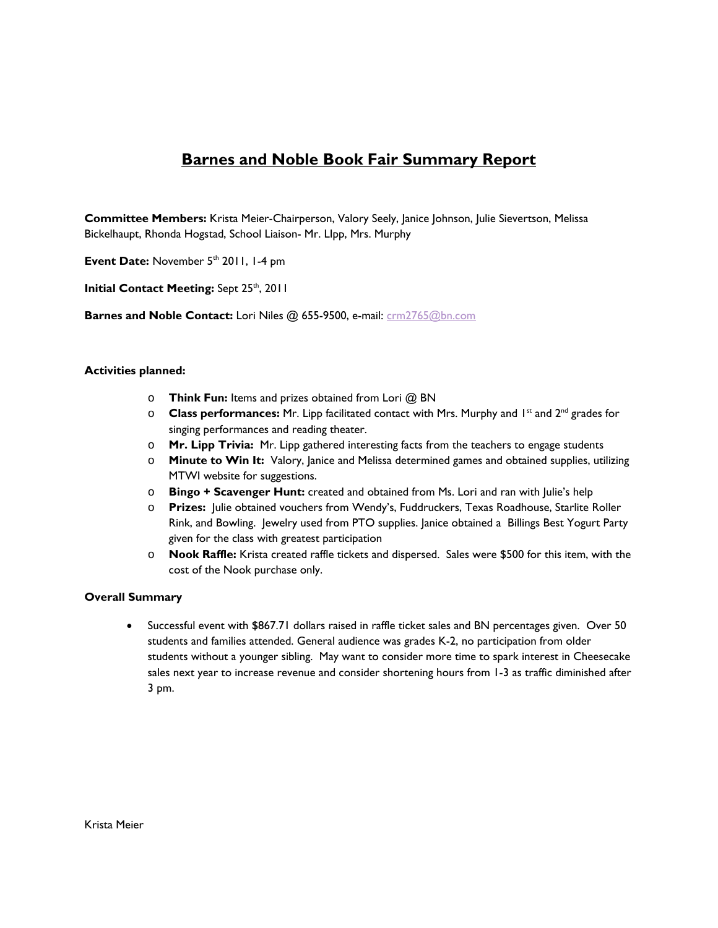## **Barnes and Noble Book Fair Summary Report**

**Committee Members:** Krista Meier-Chairperson, Valory Seely, Janice Johnson, Julie Sievertson, Melissa Bickelhaupt, Rhonda Hogstad, School Liaison- Mr. LIpp, Mrs. Murphy

Event Date: November 5<sup>th</sup> 2011, 1-4 pm

**Initial Contact Meeting: Sept 25th, 2011** 

**Barnes and Noble Contact:** Lori Niles @ 655-9500, e-mail: crm2765@bn.com

## **Activities planned:**

- o **Think Fun:** Items and prizes obtained from Lori @ BN
- o **Class performances:** Mr. Lipp facilitated contact with Mrs. Murphy and 1st and 2nd grades for singing performances and reading theater.
- o **Mr. Lipp Trivia:** Mr. Lipp gathered interesting facts from the teachers to engage students
- o **Minute to Win It:** Valory, Janice and Melissa determined games and obtained supplies, utilizing MTWI website for suggestions.
- o **Bingo + Scavenger Hunt:** created and obtained from Ms. Lori and ran with Julie's help
- o **Prizes:** Julie obtained vouchers from Wendy's, Fuddruckers, Texas Roadhouse, Starlite Roller Rink, and Bowling. Jewelry used from PTO supplies. Janice obtained a Billings Best Yogurt Party given for the class with greatest participation
- o **Nook Raffle:** Krista created raffle tickets and dispersed. Sales were \$500 for this item, with the cost of the Nook purchase only.

## **Overall Summary**

 Successful event with \$867.71 dollars raised in raffle ticket sales and BN percentages given. Over 50 students and families attended. General audience was grades K-2, no participation from older students without a younger sibling. May want to consider more time to spark interest in Cheesecake sales next year to increase revenue and consider shortening hours from 1-3 as traffic diminished after 3 pm.